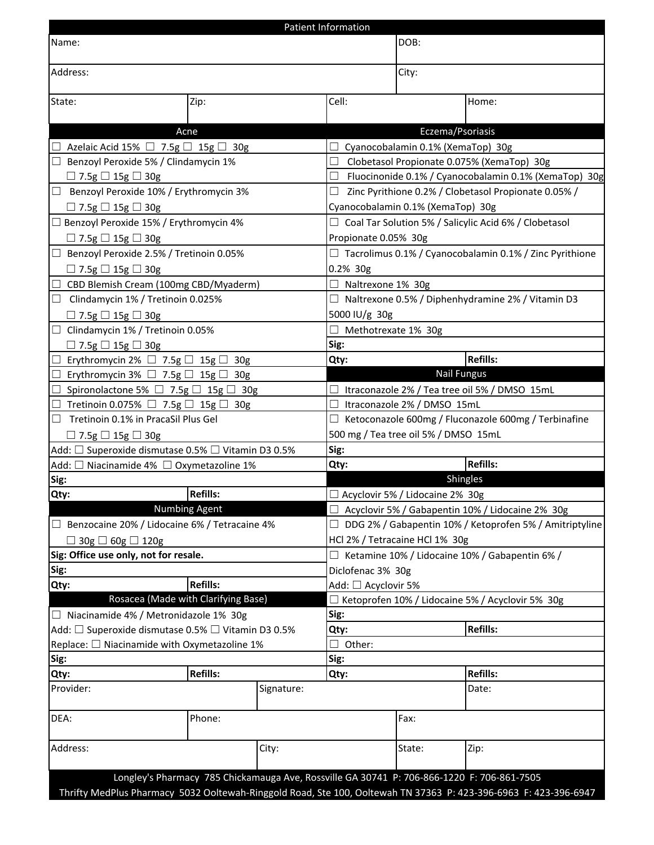| Patient Information                                |                                                                                            |            |                                                                |                                                                |                                                                                                                  |  |  |  |  |
|----------------------------------------------------|--------------------------------------------------------------------------------------------|------------|----------------------------------------------------------------|----------------------------------------------------------------|------------------------------------------------------------------------------------------------------------------|--|--|--|--|
| Name:                                              |                                                                                            | DOB:       |                                                                |                                                                |                                                                                                                  |  |  |  |  |
| Address:                                           |                                                                                            |            |                                                                | City:                                                          |                                                                                                                  |  |  |  |  |
| State:                                             | Zip:                                                                                       |            | Cell:                                                          |                                                                | Home:                                                                                                            |  |  |  |  |
|                                                    |                                                                                            |            |                                                                |                                                                |                                                                                                                  |  |  |  |  |
|                                                    | Acne                                                                                       |            |                                                                |                                                                | Eczema/Psoriasis                                                                                                 |  |  |  |  |
| Azelaic Acid 15% $\Box$ 7.5g $\Box$ 15g $\Box$ 30g |                                                                                            |            |                                                                | Cyanocobalamin 0.1% (XemaTop) 30g                              |                                                                                                                  |  |  |  |  |
| $\Box$ Benzoyl Peroxide 5% / Clindamycin 1%        |                                                                                            |            | ப                                                              |                                                                | Clobetasol Propionate 0.075% (XemaTop) 30g                                                                       |  |  |  |  |
| $\Box$ 7.5g $\Box$ 15g $\Box$ 30g                  |                                                                                            |            | $\Box$                                                         |                                                                | Fluocinonide 0.1% / Cyanocobalamin 0.1% (XemaTop) 30g                                                            |  |  |  |  |
| Benzoyl Peroxide 10% / Erythromycin 3%<br>ப        |                                                                                            |            | □                                                              | Zinc Pyrithione 0.2% / Clobetasol Propionate 0.05% /           |                                                                                                                  |  |  |  |  |
| $\Box$ 7.5g $\Box$ 15g $\Box$ 30g                  |                                                                                            |            |                                                                | Cyanocobalamin 0.1% (XemaTop) 30g                              |                                                                                                                  |  |  |  |  |
| □ Benzoyl Peroxide 15% / Erythromycin 4%           |                                                                                            |            |                                                                | $\Box$ Coal Tar Solution 5% / Salicylic Acid 6% / Clobetasol   |                                                                                                                  |  |  |  |  |
| $\Box$ 7.5g $\Box$ 15g $\Box$ 30g                  |                                                                                            |            |                                                                | Propionate 0.05% 30g                                           |                                                                                                                  |  |  |  |  |
|                                                    | Benzoyl Peroxide 2.5% / Tretinoin 0.05%                                                    |            |                                                                | $\Box$ Tacrolimus 0.1% / Cyanocobalamin 0.1% / Zinc Pyrithione |                                                                                                                  |  |  |  |  |
| $\Box$ 7.5g $\Box$ 15g $\Box$ 30g                  |                                                                                            |            | 0.2% 30g                                                       |                                                                |                                                                                                                  |  |  |  |  |
|                                                    | CBD Blemish Cream (100mg CBD/Myaderm)                                                      |            | □ Naltrexone 1% 30g                                            |                                                                |                                                                                                                  |  |  |  |  |
| $\Box$ Clindamycin 1% / Tretinoin 0.025%           |                                                                                            |            | $\Box$ Naltrexone 0.5% / Diphenhydramine 2% / Vitamin D3       |                                                                |                                                                                                                  |  |  |  |  |
| $\Box$ 7.5g $\Box$ 15g $\Box$ 30g                  |                                                                                            |            | 5000 IU/g 30g                                                  |                                                                |                                                                                                                  |  |  |  |  |
|                                                    | Clindamycin 1% / Tretinoin 0.05%                                                           |            |                                                                | $\Box$ Methotrexate 1% 30g                                     |                                                                                                                  |  |  |  |  |
| $\Box$ 7.5g $\Box$ 15g $\Box$ 30g                  |                                                                                            |            | Sig:                                                           |                                                                |                                                                                                                  |  |  |  |  |
| ⊔                                                  | Erythromycin 2% $\Box$ 7.5g $\Box$ 15g $\Box$ 30g                                          |            | Qty:                                                           |                                                                | <b>Refills:</b>                                                                                                  |  |  |  |  |
|                                                    | Erythromycin 3% $\Box$ 7.5g $\Box$ 15g $\Box$ 30g                                          |            |                                                                |                                                                | <b>Nail Fungus</b>                                                                                               |  |  |  |  |
|                                                    | Spironolactone 5% $\Box$ 7.5g $\Box$ 15g $\Box$ 30g                                        |            |                                                                | $\Box$ Itraconazole 2% / Tea tree oil 5% / DMSO 15mL           |                                                                                                                  |  |  |  |  |
|                                                    | Tretinoin 0.075% $\Box$ 7.5g $\Box$ 15g $\Box$ 30g                                         |            | ⊔                                                              | Itraconazole 2% / DMSO 15mL                                    |                                                                                                                  |  |  |  |  |
| ⊔                                                  | Tretinoin 0.1% in PracaSil Plus Gel                                                        |            |                                                                | $\Box$ Ketoconazole 600mg / Fluconazole 600mg / Terbinafine    |                                                                                                                  |  |  |  |  |
| $\Box$ 7.5g $\Box$ 15g $\Box$ 30g                  |                                                                                            |            |                                                                | 500 mg / Tea tree oil 5% / DMSO 15mL                           |                                                                                                                  |  |  |  |  |
|                                                    | Add: □ Superoxide dismutase 0.5% □ Vitamin D3 0.5%                                         |            | Sig:                                                           |                                                                |                                                                                                                  |  |  |  |  |
|                                                    | Add: □ Niacinamide 4% □ Oxymetazoline 1%                                                   |            | Qty:                                                           |                                                                | <b>Refills:</b>                                                                                                  |  |  |  |  |
| Sig:                                               |                                                                                            |            |                                                                | Shingles                                                       |                                                                                                                  |  |  |  |  |
| Qty:                                               | Refills:                                                                                   |            |                                                                | □ Acyclovir 5% / Lidocaine 2% 30g                              |                                                                                                                  |  |  |  |  |
|                                                    | <b>Numbing Agent</b>                                                                       |            |                                                                | □ Acyclovir 5% / Gabapentin 10% / Lidocaine 2% 30g             |                                                                                                                  |  |  |  |  |
|                                                    | $\Box$ Benzocaine 20% / Lidocaine 6% / Tetracaine 4%                                       |            | $\Box$ DDG 2% / Gabapentin 10% / Ketoprofen 5% / Amitriptyline |                                                                |                                                                                                                  |  |  |  |  |
| $\Box$ 30g $\Box$ 60g $\Box$ 120g                  |                                                                                            |            | HCl 2% / Tetracaine HCl 1% 30g                                 |                                                                |                                                                                                                  |  |  |  |  |
| Sig: Office use only, not for resale.              |                                                                                            |            |                                                                | $\Box$ Ketamine 10% / Lidocaine 10% / Gabapentin 6% /          |                                                                                                                  |  |  |  |  |
| Sig:                                               |                                                                                            |            |                                                                | Diclofenac 3% 30g                                              |                                                                                                                  |  |  |  |  |
| Qty:                                               | <b>Refills:</b>                                                                            |            |                                                                | Add: □ Acyclovir 5%                                            |                                                                                                                  |  |  |  |  |
|                                                    | Rosacea (Made with Clarifying Base)                                                        |            |                                                                | □ Ketoprofen 10% / Lidocaine 5% / Acyclovir 5% 30g             |                                                                                                                  |  |  |  |  |
|                                                    | □ Niacinamide 4% / Metronidazole 1% 30g                                                    |            | Sig:                                                           |                                                                |                                                                                                                  |  |  |  |  |
|                                                    | Add: □ Superoxide dismutase 0.5% □ Vitamin D3 0.5%                                         |            | Qty:                                                           | <b>Refills:</b>                                                |                                                                                                                  |  |  |  |  |
|                                                    | Replace: $\square$ Niacinamide with Oxymetazoline 1%                                       |            | $\Box$ Other:                                                  |                                                                |                                                                                                                  |  |  |  |  |
| Sig:                                               |                                                                                            |            |                                                                | Sig:                                                           |                                                                                                                  |  |  |  |  |
| Qty:                                               | <b>Refills:</b>                                                                            |            | Qty:                                                           |                                                                | <b>Refills:</b>                                                                                                  |  |  |  |  |
| Provider:                                          |                                                                                            | Signature: |                                                                |                                                                | Date:                                                                                                            |  |  |  |  |
| DEA:                                               | Phone:                                                                                     |            |                                                                | Fax:                                                           |                                                                                                                  |  |  |  |  |
| Address:                                           |                                                                                            | City:      |                                                                | State:                                                         | Zip:                                                                                                             |  |  |  |  |
|                                                    | Longley's Pharmacy 785 Chickamauga Ave, Rossville GA 30741 P: 706-866-1220 F: 706-861-7505 |            |                                                                |                                                                | Thrifty MedPlus Pharmacy 5032 Ooltewah-Ringgold Road, Ste 100, Ooltewah TN 37363 P: 423-396-6963 F: 423-396-6947 |  |  |  |  |